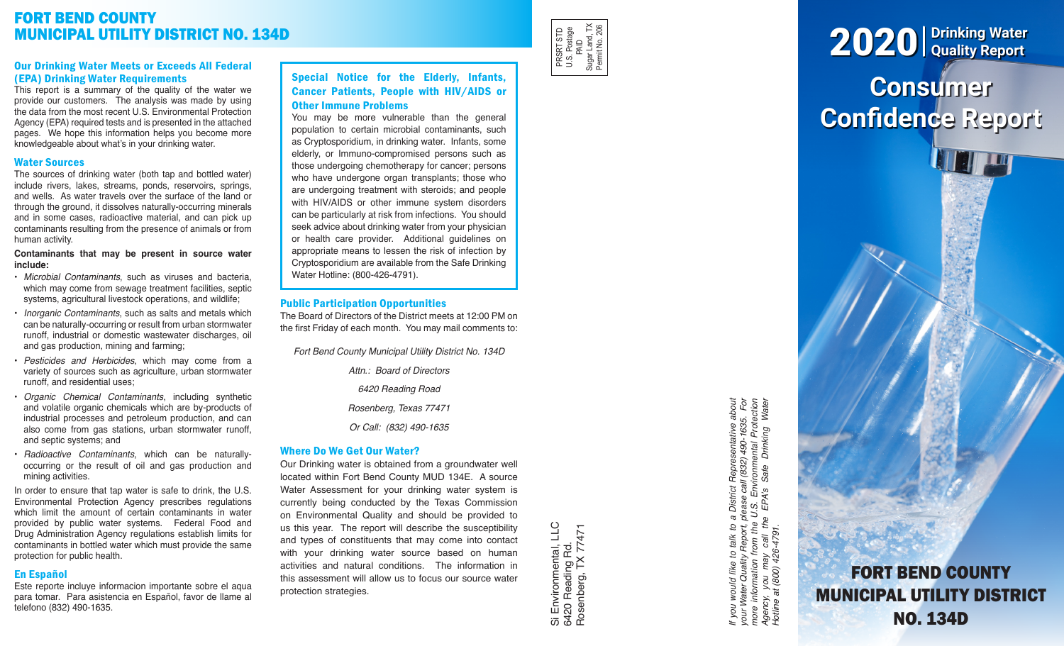# FORT BEND COUNTY MUNICIPAL UTILITY DISTRICT NO. 134D

### Our Drinking Water Meets or Exceeds All Federal (EPA) Drinking Water Requirements

This report is a summary of the quality of the water we provide our customers. The analysis was made by using the data from the most recent U.S. Environmental Protection Agency (EPA) required tests and is presented in the attached pages. We hope this information helps you become more knowledgeable about what's in your drinking water.

### Water Sources

The sources of drinking water (both tap and bottled water) include rivers, lakes, streams, ponds, reservoirs, springs, and wells. As water travels over the surface of the land or through the ground, it dissolves naturally-occurring minerals and in some cases, radioactive material, and can pick up contaminants resulting from the presence of animals or from human activity.

### **Contaminants that may be present in source water include:**

- *Microbial Contaminants*, such as viruses and bacteria, which may come from sewage treatment facilities, septic systems, agricultural livestock operations, and wildlife;
- *Inorganic Contaminants*, such as salts and metals which can be naturally-occurring or result from urban stormwater runoff, industrial or domestic wastewater discharges, oil and gas production, mining and farming;
- *Pesticides and Herbicides*, which may come from a variety of sources such as agriculture, urban stormwater runoff, and residential uses;
- *Organic Chemical Contaminants*, including synthetic and volatile organic chemicals which are by-products of industrial processes and petroleum production, and can also come from gas stations, urban stormwater runoff, and septic systems; and
- *Radioactive Contaminants*, which can be naturallyoccurring or the result of oil and gas production and mining activities.

In order to ensure that tap water is safe to drink, the U.S. Environmental Protection Agency prescribes regulations which limit the amount of certain contaminants in water provided by public water systems. Federal Food and Drug Administration Agency regulations establish limits for contaminants in bottled water which must provide the same protection for public health.

# En Español

Este reporte incluye informacion importante sobre el aqua para tomar. Para asistencia en Español, favor de llame al telefono (832) 490-1635.

# Special Notice for the Elderly, Infants, Cancer Patients, People with HIV/AIDS or Other Immune Problems

You may be more vulnerable than the general population to certain microbial contaminants, such as Cryptosporidium, in drinking water. Infants, some elderly, or Immuno-compromised persons such as those undergoing chemotherapy for cancer; persons who have undergone organ transplants; those who are undergoing treatment with steroids; and people with HIV/AIDS or other immune system disorders can be particularly at risk from infections. You should seek advice about drinking water from your physician or health care provider. Additional guidelines on appropriate means to lessen the risk of infection by Cryptosporidium are available from the Safe Drinking Water Hotline: (800-426-4791).

# Public Participation Opportunities

The Board of Directors of the District meets at 12:00 PM on the first Friday of each month. You may mail comments to:

*Fort Bend County Municipal Utility District No. 134D*

*Attn.: Board of Directors*

*6420 Reading Road*

*Rosenberg, Texas 77471*

*Or Call: (832) 490-1635*

# Where Do We Get Our Water?

Our Drinking water is obtained from a groundwater well located within Fort Bend County MUD 134E. A source Water Assessment for your drinking water system is currently being conducted by the Texas Commission on Environmental Quality and should be provided to us this year. The report will describe the susceptibility and types of constituents that may come into contact with your drinking water source based on human activities and natural conditions. The information in this assessment will allow us to focus our source water protection strategies.

Si Environmental, LLC<br>6420 Reading Rd.<br>Rosenberg, TX 77471 Si Environmental, LLC Rosenberg, TX 77471 6420 Reading Rd.

PRSRT STD U.S. Postage PRSRT STD<br>U.S. Postage<br>PAID<br>Sugar Land, TX<br>Pemit No. 206 Sugar Land, TX Permit No. 206

> If you would like to talk to a District Representative about<br>your Water Quality Report, please call (832) 490-1635. For<br>more information from the U.S. Environmental Protection<br>Agency, you may call the EPA's Safe Drinking W *If you would like to talk to a District Representative about your Water Quality Report, please call (832) 490-1635. For more information from the U.S. Environmental Protection Agency, you may call the EPA's Safe Drinking Water Hotline at (800) 426-4791.*

# **Consumer Confidence Report** 2020 **Drinking Water Quality Report**

FORT BEND COUNTY MUNICIPAL UTILITY DISTRICT NO. 134D